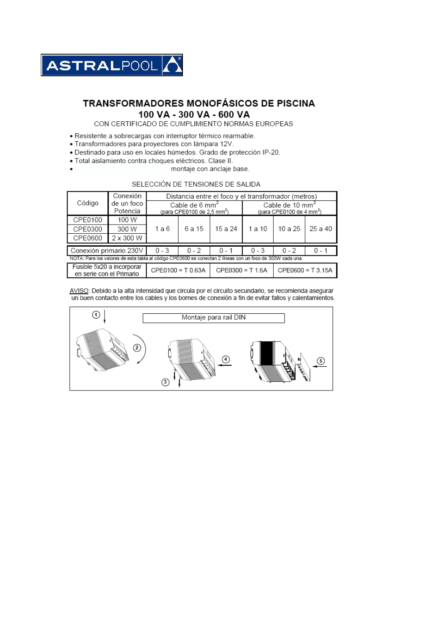

## **TRANSFORMADORES MONOFÁSICOS DE PISCINA** 100 VA - 300 VA - 600 VA

CON CERTIFICADO DE CUMPLIMIENTO NORMAS EUROPEAS

- Resistente a sobrecargas con interruptor térmico rearmable.
- . Transformadores para proyectores con lámpara 12V.
- . Destinado para uso en locales húmedos. Grado de protección IP-20.
- Total aislamiento contra choques eléctricos. Clase II.  $\overline{a}$ 
	- montaje con anclaje base.

## SELECCIÓN DE TENSIONES DE SALIDA

|                                                                                                           | Conexión               | Distancia entre el foco y el transformador (metros)                 |         |                    |                                                                     |                     |         |  |
|-----------------------------------------------------------------------------------------------------------|------------------------|---------------------------------------------------------------------|---------|--------------------|---------------------------------------------------------------------|---------------------|---------|--|
| Código                                                                                                    | de un foco<br>Potencia | Cable de $6 \text{ mm}^2$<br>(para CPE0100 de 2,5 mm <sup>2</sup> ) |         |                    | Cable de 10 mm <sup>2</sup><br>(para CPE0100 de 4 mm <sup>2</sup> ) |                     |         |  |
| CPE0100                                                                                                   | 100 W                  |                                                                     |         |                    |                                                                     |                     |         |  |
| CPE0300                                                                                                   | 300 W                  | 1 a 6                                                               | 6 a 15  | 15 a 24            | 1 a 10                                                              | 10 a 25             | 25 a 40 |  |
| CPE0600                                                                                                   | 2 x 300 W              |                                                                     |         |                    |                                                                     |                     |         |  |
| Conexión primario 230V                                                                                    |                        | $0 - 3$                                                             | $0 - 2$ | $0 - 1$            | $0 - 3$                                                             | $0 - 2$             | $0 - 1$ |  |
| NOTA: Para los valores de esta tabla al código CPE0600 se conectan 2 líneas con un foco de 300W cada una. |                        |                                                                     |         |                    |                                                                     |                     |         |  |
| Fusible 5x20 a incorporar<br>en serie con el Primario                                                     |                        | $CPE0100 = T0.63A$                                                  |         | $CPE0300 = T 1.6A$ |                                                                     | $CPE0600 = T 3.15A$ |         |  |

AVISO: Debido a la alta intensidad que circula por el circuito secundario, se recomienda asegurar<br>un buen contacto entre los cables y los bornes de conexión a fin de evitar fallos y calentamientos.